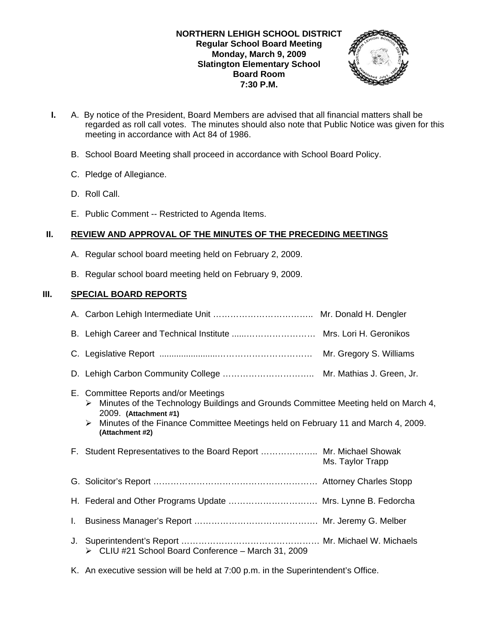

- **I.** A. By notice of the President, Board Members are advised that all financial matters shall be regarded as roll call votes. The minutes should also note that Public Notice was given for this meeting in accordance with Act 84 of 1986.
	- B. School Board Meeting shall proceed in accordance with School Board Policy.
	- C. Pledge of Allegiance.
	- D. Roll Call.
	- E. Public Comment -- Restricted to Agenda Items.

# **II. REVIEW AND APPROVAL OF THE MINUTES OF THE PRECEDING MEETINGS**

- A. Regular school board meeting held on February 2, 2009.
- B. Regular school board meeting held on February 9, 2009.

# **III. SPECIAL BOARD REPORTS**

|    | E. Committee Reports and/or Meetings<br>$\triangleright$ Minutes of the Technology Buildings and Grounds Committee Meeting held on March 4,<br>2009. (Attachment #1)<br>$\triangleright$ Minutes of the Finance Committee Meetings held on February 11 and March 4, 2009.<br>(Attachment #2) |                  |
|----|----------------------------------------------------------------------------------------------------------------------------------------------------------------------------------------------------------------------------------------------------------------------------------------------|------------------|
|    |                                                                                                                                                                                                                                                                                              |                  |
|    | F. Student Representatives to the Board Report  Mr. Michael Showak                                                                                                                                                                                                                           | Ms. Taylor Trapp |
|    |                                                                                                                                                                                                                                                                                              |                  |
|    | H. Federal and Other Programs Update  Mrs. Lynne B. Fedorcha                                                                                                                                                                                                                                 |                  |
| L. |                                                                                                                                                                                                                                                                                              |                  |
| J. | > CLIU #21 School Board Conference - March 31, 2009                                                                                                                                                                                                                                          |                  |

K. An executive session will be held at 7:00 p.m. in the Superintendent's Office.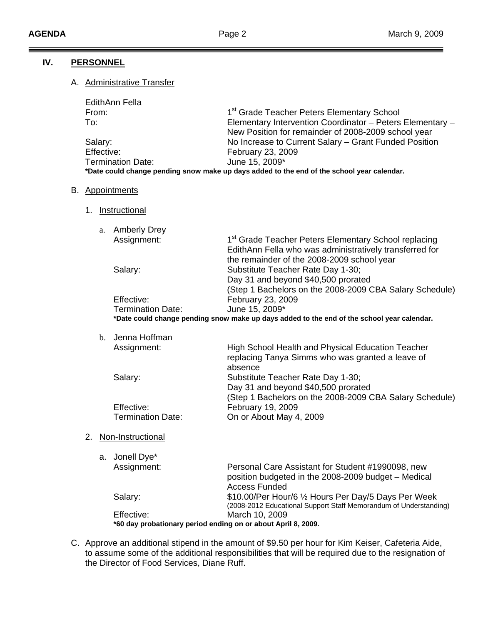### **IV. PERSONNEL**

### A. Administrative Transfer

| EdithAnn Fella                                                                             |                                                           |  |
|--------------------------------------------------------------------------------------------|-----------------------------------------------------------|--|
| From:                                                                                      | 1 <sup>st</sup> Grade Teacher Peters Elementary School    |  |
| To:                                                                                        | Elementary Intervention Coordinator - Peters Elementary - |  |
|                                                                                            | New Position for remainder of 2008-2009 school year       |  |
| Salary:                                                                                    | No Increase to Current Salary - Grant Funded Position     |  |
| Effective:                                                                                 | February 23, 2009                                         |  |
| <b>Termination Date:</b>                                                                   | June 15, 2009*                                            |  |
| *Date could change pending snow make up days added to the end of the school year calendar. |                                                           |  |

- B. Appointments
	- 1. Instructional

| a. Amberly Drey                                                                        |                                                                  |  |  |
|----------------------------------------------------------------------------------------|------------------------------------------------------------------|--|--|
| Assignment:                                                                            | 1 <sup>st</sup> Grade Teacher Peters Elementary School replacing |  |  |
|                                                                                        | EdithAnn Fella who was administratively transferred for          |  |  |
|                                                                                        | the remainder of the 2008-2009 school year                       |  |  |
| Salary:                                                                                | Substitute Teacher Rate Day 1-30;                                |  |  |
|                                                                                        | Day 31 and beyond \$40,500 prorated                              |  |  |
|                                                                                        | (Step 1 Bachelors on the 2008-2009 CBA Salary Schedule)          |  |  |
| Effective:                                                                             | February 23, 2009                                                |  |  |
| <b>Termination Date:</b>                                                               | June 15, 2009*                                                   |  |  |
| to could change pending snow make up days added to the end of the school wear calendar |                                                                  |  |  |

**\*Date could change pending snow make up days added to the end of the school year calendar.** 

|    | b. Jenna Hoffman         |                                                                                                                                     |
|----|--------------------------|-------------------------------------------------------------------------------------------------------------------------------------|
|    | Assignment:              | High School Health and Physical Education Teacher<br>replacing Tanya Simms who was granted a leave of<br>absence                    |
|    | Salary:                  | Substitute Teacher Rate Day 1-30;<br>Day 31 and beyond \$40,500 prorated<br>(Step 1 Bachelors on the 2008-2009 CBA Salary Schedule) |
|    | Effective:               | February 19, 2009                                                                                                                   |
|    | <b>Termination Date:</b> | On or About May 4, 2009                                                                                                             |
| 2. | Non-Instructional        |                                                                                                                                     |
|    | a. Jonell Dye*           |                                                                                                                                     |
|    | Assignment:              | Personal Care Assistant for Student #1990098, new<br>position budgeted in the 2008-2009 budget - Medical                            |

 Access Funded Salary: **\$10.00/Per Hour/6 1/2 Hours Per Day/5 Days Per Week**  (2008-2012 Educational Support Staff Memorandum of Understanding) Effective: March 10, 2009 **\*60 day probationary period ending on or about April 8, 2009.** 

C. Approve an additional stipend in the amount of \$9.50 per hour for Kim Keiser, Cafeteria Aide, to assume some of the additional responsibilities that will be required due to the resignation of the Director of Food Services, Diane Ruff.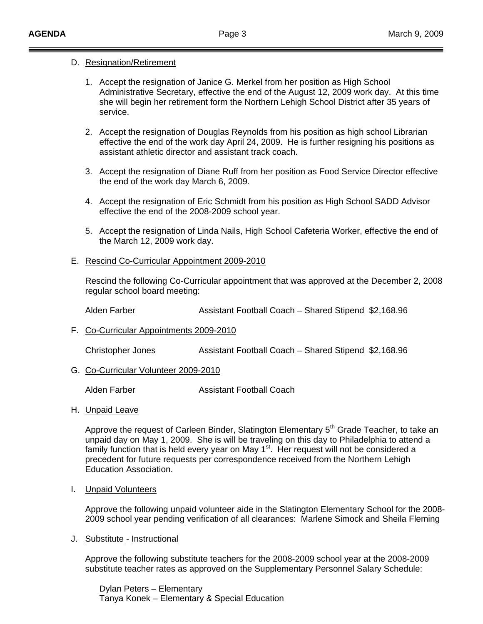### D. Resignation/Retirement

- 1. Accept the resignation of Janice G. Merkel from her position as High School Administrative Secretary, effective the end of the August 12, 2009 work day. At this time she will begin her retirement form the Northern Lehigh School District after 35 years of service.
- 2. Accept the resignation of Douglas Reynolds from his position as high school Librarian effective the end of the work day April 24, 2009. He is further resigning his positions as assistant athletic director and assistant track coach.
- 3. Accept the resignation of Diane Ruff from her position as Food Service Director effective the end of the work day March 6, 2009.
- 4. Accept the resignation of Eric Schmidt from his position as High School SADD Advisor effective the end of the 2008-2009 school year.
- 5. Accept the resignation of Linda Nails, High School Cafeteria Worker, effective the end of the March 12, 2009 work day.

#### E. Rescind Co-Curricular Appointment 2009-2010

 Rescind the following Co-Curricular appointment that was approved at the December 2, 2008 regular school board meeting:

Alden Farber **Algen Engineerial Assistant Football Coach** – Shared Stipend \$2,168.96

F. Co-Curricular Appointments 2009-2010

Christopher Jones Assistant Football Coach – Shared Stipend \$2,168.96

G. Co-Curricular Volunteer 2009-2010

Alden Farber **Assistant Football Coach** 

H. Unpaid Leave

Approve the request of Carleen Binder, Slatington Elementary 5<sup>th</sup> Grade Teacher, to take an unpaid day on May 1, 2009. She is will be traveling on this day to Philadelphia to attend a family function that is held every year on May 1<sup>st</sup>. Her request will not be considered a precedent for future requests per correspondence received from the Northern Lehigh Education Association.

#### I. Unpaid Volunteers

Approve the following unpaid volunteer aide in the Slatington Elementary School for the 2008- 2009 school year pending verification of all clearances: Marlene Simock and Sheila Fleming

J. Substitute - Instructional

Approve the following substitute teachers for the 2008-2009 school year at the 2008-2009 substitute teacher rates as approved on the Supplementary Personnel Salary Schedule:

Dylan Peters – Elementary Tanya Konek – Elementary & Special Education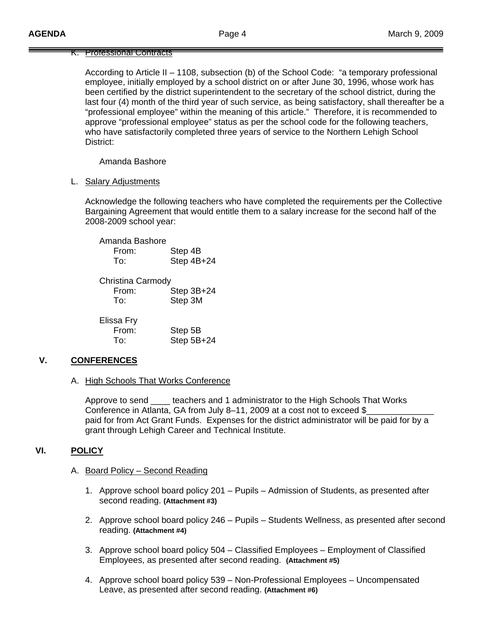#### K. Professional Contracts

 According to Article II – 1108, subsection (b) of the School Code: "a temporary professional employee, initially employed by a school district on or after June 30, 1996, whose work has been certified by the district superintendent to the secretary of the school district, during the last four (4) month of the third year of such service, as being satisfactory, shall thereafter be a "professional employee" within the meaning of this article." Therefore, it is recommended to approve "professional employee" status as per the school code for the following teachers, who have satisfactorily completed three years of service to the Northern Lehigh School District:

Amanda Bashore

L. Salary Adjustments

Acknowledge the following teachers who have completed the requirements per the Collective Bargaining Agreement that would entitle them to a salary increase for the second half of the 2008-2009 school year:

| Amanda Bashore<br>From:<br>To:           | Step 4B<br>Step 4B+24 |
|------------------------------------------|-----------------------|
| <b>Christina Carmody</b><br>From:<br>To: | Step 3B+24<br>Step 3M |
| Elissa Fry<br>From:<br>T∩∸               | Step 5B<br>Step 5B+24 |

# **V. CONFERENCES**

A. High Schools That Works Conference

 Approve to send \_\_\_\_ teachers and 1 administrator to the High Schools That Works Conference in Atlanta, GA from July 8–11, 2009 at a cost not to exceed  $\S$  paid for from Act Grant Funds. Expenses for the district administrator will be paid for by a grant through Lehigh Career and Technical Institute.

# **VI. POLICY**

- A. Board Policy Second Reading
	- 1. Approve school board policy 201 Pupils Admission of Students, as presented after second reading. **(Attachment #3)**
	- 2. Approve school board policy 246 Pupils Students Wellness, as presented after second reading. **(Attachment #4)**
	- 3. Approve school board policy 504 Classified Employees Employment of Classified Employees, as presented after second reading. **(Attachment #5)**
	- 4. Approve school board policy 539 Non-Professional Employees Uncompensated Leave, as presented after second reading. **(Attachment #6)**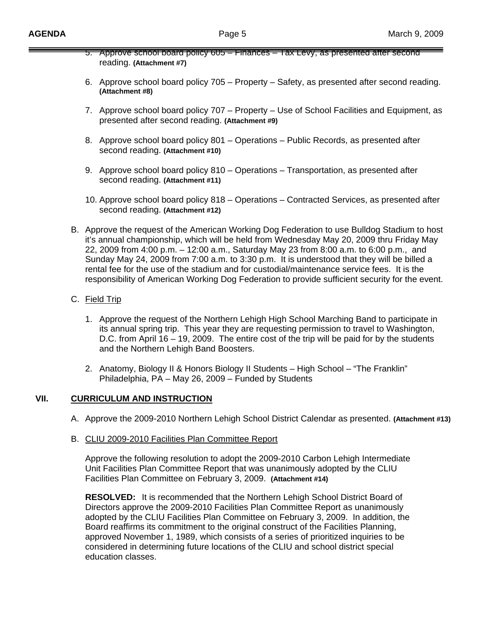- 5. Approve school board policy 605 Finances Tax Levy, as presented after second reading. **(Attachment #7)**
- 6. Approve school board policy 705 Property Safety, as presented after second reading. **(Attachment #8)**
- 7. Approve school board policy 707 Property Use of School Facilities and Equipment, as presented after second reading. **(Attachment #9)**
- 8. Approve school board policy 801 Operations Public Records, as presented after second reading. **(Attachment #10)**
- 9. Approve school board policy 810 Operations Transportation, as presented after second reading. **(Attachment #11)**
- 10. Approve school board policy 818 Operations Contracted Services, as presented after second reading. **(Attachment #12)**
- B. Approve the request of the American Working Dog Federation to use Bulldog Stadium to host it's annual championship, which will be held from Wednesday May 20, 2009 thru Friday May 22, 2009 from 4:00 p.m. – 12:00 a.m., Saturday May 23 from 8:00 a.m. to 6:00 p.m., and Sunday May 24, 2009 from 7:00 a.m. to 3:30 p.m. It is understood that they will be billed a rental fee for the use of the stadium and for custodial/maintenance service fees. It is the responsibility of American Working Dog Federation to provide sufficient security for the event.
- C. Field Trip
	- 1. Approve the request of the Northern Lehigh High School Marching Band to participate in its annual spring trip. This year they are requesting permission to travel to Washington, D.C. from April 16 – 19, 2009. The entire cost of the trip will be paid for by the students and the Northern Lehigh Band Boosters.
	- 2. Anatomy, Biology II & Honors Biology II Students High School "The Franklin" Philadelphia, PA – May 26, 2009 – Funded by Students

# **VII. CURRICULUM AND INSTRUCTION**

- A. Approve the 2009-2010 Northern Lehigh School District Calendar as presented. **(Attachment #13)**
- B. CLIU 2009-2010 Facilities Plan Committee Report

 Approve the following resolution to adopt the 2009-2010 Carbon Lehigh Intermediate Unit Facilities Plan Committee Report that was unanimously adopted by the CLIU Facilities Plan Committee on February 3, 2009. **(Attachment #14)** 

 **RESOLVED:** It is recommended that the Northern Lehigh School District Board of Directors approve the 2009-2010 Facilities Plan Committee Report as unanimously adopted by the CLIU Facilities Plan Committee on February 3, 2009. In addition, the Board reaffirms its commitment to the original construct of the Facilities Planning, approved November 1, 1989, which consists of a series of prioritized inquiries to be considered in determining future locations of the CLIU and school district special education classes.